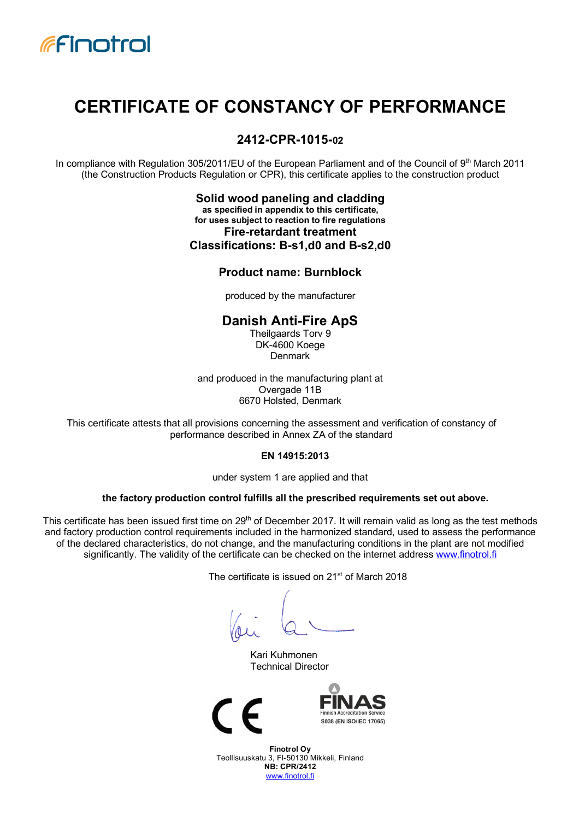

# **CERTIFICATE OF CONSTANCY OF PERFORMANCE**

## **2412-CPR-1015-02**

In compliance with Regulation 305/2011/EU of the European Parliament and of the Council of 9th March 2011 (the Construction Products Regulation or CPR), this certificate applies to the construction product

> **Solid wood paneling and cladding as specified in appendix to this certificate, for uses subject to reaction to fire regulations Fire-retardant treatment Classifications: B-s1,d0 and B-s2,d0**

#### **Product name: Burnblock**

produced by the manufacturer

#### **Danish Anti-Fire ApS**

Theilgaards Torv 9 DK-4600 Koege Denmark

and produced in the manufacturing plant at Overgade 11B 6670 Holsted, Denmark

This certificate attests that all provisions concerning the assessment and verification of constancy of performance described in Annex ZA of the standard

#### **EN 14915:2013**

under system 1 are applied and that

#### **the factory production control fulfills all the prescribed requirements set out above.**

This certificate has been issued first time on 29<sup>th</sup> of December 2017. It will remain valid as long as the test methods and factory production control requirements included in the harmonized standard, used to assess the performance of the declared characteristics, do not change, and the manufacturing conditions in the plant are not modified significantly. The validity of the certificate can be checked on the internet address www.finotrol.fi

The certificate is issued on 21<sup>st</sup> of March 2018

Kari Kuhmonen Technical Director





**Finotrol Oy** Teollisuuskatu 3, FI-50130 Mikkeli, Finland **NB: CPR/2412** www.finotrol.fi